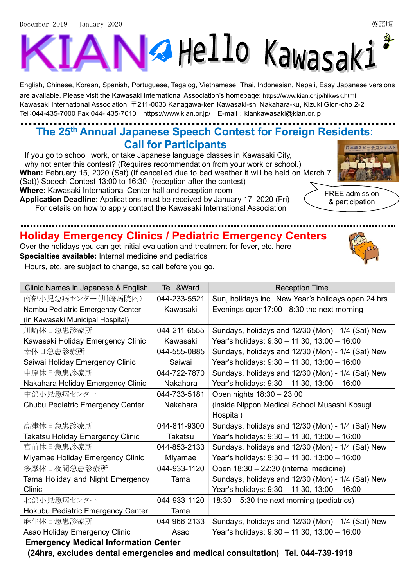# **A** Hello Kawasaki K

English, Chinese, Korean, Spanish, Portuguese, Tagalog, Vietnamese, Thai, Indonesian, Nepali, Easy Japanese versions are available. Please visit the Kawasaki International Association's homepage: https://www.kian.or.jp/hlkwsk.html Kawasaki International Association 〒211-0033 Kanagawa-ken Kawasaki-shi Nakahara-ku, Kizuki Gion-cho 2-2 Tel:044-435-7000 Fax 044- 435-7010 https://www.kian.or.jp/ E-mail:kiankawasaki@kian.or.jp

## The 25th Annual Japanese Speech Contest for Foreign Residents: Call for Participants

If you go to school, work, or take Japanese language classes in Kawasaki City, why not enter this contest? (Requires recommendation from your work or school.) When: February 15, 2020 (Sat) (If cancelled due to bad weather it will be held on March 7 (Sat)) Speech Contest 13:00 to 16:30 (reception after the contest) Where: Kawasaki International Center hall and reception room Application Deadline: Applications must be received by January 17, 2020 (Fri) For details on how to apply contact the Kawasaki International Association



FREE admission & participation

## Holiday Emergency Clinics / Pediatric Emergency Centers

Over the holidays you can get initial evaluation and treatment for fever, etc. here Specialties available: Internal medicine and pediatrics

Hours, etc. are subject to change, so call before you go.

| Clinic Names in Japanese & English | Tel. &Ward   | <b>Reception Time</b>                                |  |  |
|------------------------------------|--------------|------------------------------------------------------|--|--|
| 南部小児急病センター(川崎病院内)                  | 044-233-5521 | Sun, holidays incl. New Year's holidays open 24 hrs. |  |  |
| Nambu Pediatric Emergency Center   | Kawasaki     | Evenings open17:00 - 8:30 the next morning           |  |  |
| (in Kawasaki Municipal Hospital)   |              |                                                      |  |  |
| 川崎休日急患診療所                          | 044-211-6555 | Sundays, holidays and 12/30 (Mon) - 1/4 (Sat) New    |  |  |
| Kawasaki Holiday Emergency Clinic  | Kawasaki     | Year's holidays: 9:30 - 11:30, 13:00 - 16:00         |  |  |
| 幸休日急患診療所                           | 044-555-0885 | Sundays, holidays and 12/30 (Mon) - 1/4 (Sat) New    |  |  |
| Saiwai Holiday Emergency Clinic    | Saiwai       | Year's holidays: $9:30 - 11:30$ , $13:00 - 16:00$    |  |  |
| 中原休日急患診療所                          | 044-722-7870 | Sundays, holidays and 12/30 (Mon) - 1/4 (Sat) New    |  |  |
| Nakahara Holiday Emergency Clinic  | Nakahara     | Year's holidays: 9:30 - 11:30, 13:00 - 16:00         |  |  |
| 中部小児急病センター                         | 044-733-5181 | Open nights 18:30 - 23:00                            |  |  |
| Chubu Pediatric Emergency Center   | Nakahara     | (inside Nippon Medical School Musashi Kosugi         |  |  |
|                                    |              | Hospital)                                            |  |  |
| 高津休日急患診療所                          | 044-811-9300 | Sundays, holidays and 12/30 (Mon) - 1/4 (Sat) New    |  |  |
| Takatsu Holiday Emergency Clinic   | Takatsu      | Year's holidays: 9:30 - 11:30, 13:00 - 16:00         |  |  |
| 宮前休日急患診療所                          | 044-853-2133 | Sundays, holidays and 12/30 (Mon) - 1/4 (Sat) New    |  |  |
| Miyamae Holiday Emergency Clinic   | Miyamae      | Year's holidays: $9:30 - 11:30$ , $13:00 - 16:00$    |  |  |
| 多摩休日夜間急患診療所                        | 044-933-1120 | Open 18:30 - 22:30 (internal medicine)               |  |  |
| Tama Holiday and Night Emergency   | Tama         | Sundays, holidays and 12/30 (Mon) - 1/4 (Sat) New    |  |  |
| Clinic                             |              | Year's holidays: 9:30 - 11:30, 13:00 - 16:00         |  |  |
| 北部小児急病センター                         | 044-933-1120 | $18:30 - 5:30$ the next morning (pediatrics)         |  |  |
| Hokubu Pediatric Emergency Center  | Tama         |                                                      |  |  |
| 麻生休日急患診療所                          | 044-966-2133 | Sundays, holidays and 12/30 (Mon) - 1/4 (Sat) New    |  |  |
| Asao Holiday Emergency Clinic      | Asao         | Year's holidays: 9:30 - 11:30, 13:00 - 16:00         |  |  |

#### Emergency Medical Information Center

(24hrs, excludes dental emergencies and medical consultation) Tel. 044-739-1919